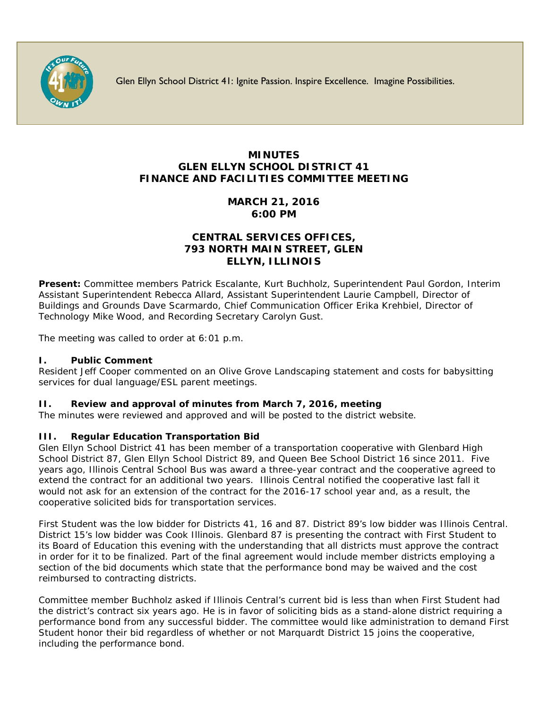

Glen Ellyn School District 41: Ignite Passion. Inspire Excellence. Imagine Possibilities.

# **MINUTES GLEN ELLYN SCHOOL DISTRICT 41 FINANCE AND FACILITIES COMMITTEE MEETING**

## **MARCH 21, 2016 6:00 PM**

### **CENTRAL SERVICES OFFICES, 793 NORTH MAIN STREET, GLEN ELLYN, ILLINOIS**

**Present:** Committee members Patrick Escalante, Kurt Buchholz, Superintendent Paul Gordon, Interim Assistant Superintendent Rebecca Allard, Assistant Superintendent Laurie Campbell, Director of Buildings and Grounds Dave Scarmardo, Chief Communication Officer [Erika Krehbiel,](http://www.d41.org/contact_email.asp?id=ekrehbiel&n=Erika_Krehbiel) Director of Technology Mike Wood, and Recording Secretary Carolyn Gust.

The meeting was called to order at 6:01 p.m.

### **I. Public Comment**

Resident Jeff Cooper commented on an Olive Grove Landscaping statement and costs for babysitting services for dual language/ESL parent meetings.

#### **II. Review and approval of minutes from March 7, 2016, meeting**

The minutes were reviewed and approved and will be posted to the district website.

#### **III. Regular Education Transportation Bid**

Glen Ellyn School District 41 has been member of a transportation cooperative with Glenbard High School District 87, Glen Ellyn School District 89, and Queen Bee School District 16 since 2011. Five years ago, Illinois Central School Bus was award a three-year contract and the cooperative agreed to extend the contract for an additional two years. Illinois Central notified the cooperative last fall it would not ask for an extension of the contract for the 2016-17 school year and, as a result, the cooperative solicited bids for transportation services.

First Student was the low bidder for Districts 41, 16 and 87. District 89's low bidder was Illinois Central. District 15's low bidder was Cook Illinois. Glenbard 87 is presenting the contract with First Student to its Board of Education this evening with the understanding that all districts must approve the contract in order for it to be finalized. Part of the final agreement would include member districts employing a section of the bid documents which state that the performance bond may be waived and the cost reimbursed to contracting districts.

Committee member Buchholz asked if Illinois Central's current bid is less than when First Student had the district's contract six years ago. He is in favor of soliciting bids as a stand-alone district requiring a performance bond from any successful bidder. The committee would like administration to demand First Student honor their bid regardless of whether or not Marquardt District 15 joins the cooperative, including the performance bond.